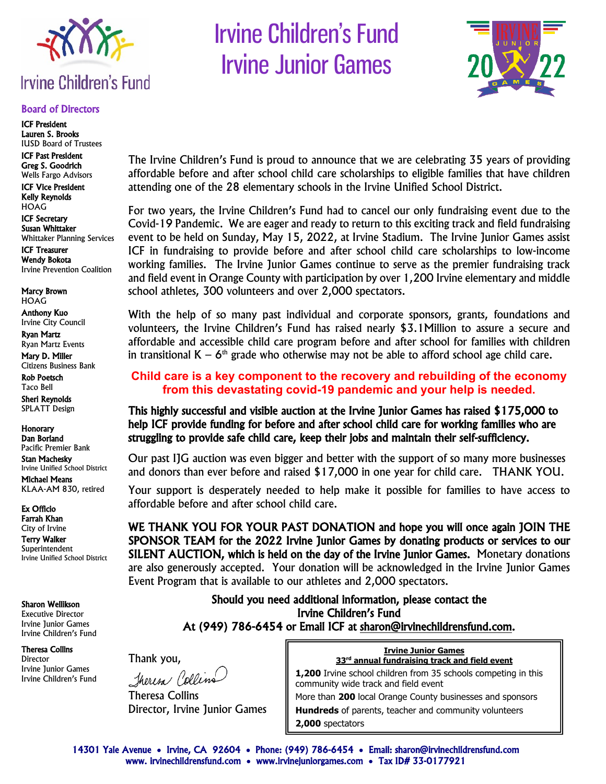

#### Board of Directors

ICF President Lauren S. Brooks IUSD Board of Trustees

ICF Past President Greg S. Goodrich Wells Fargo Advisors

ICF Vice President Kelly Reynolds **HOAG** 

ICF Secretary Susan Whittaker Whittaker Planning Services ICF Treasurer

Wendy Bokota Irvine Prevention Coalition

Marcy Brown HOAG

Anthony Kuo Irvine City Council

Ryan Martz Ryan Martz Events

Mary D. Miller Citizens Business Bank

Rob Poetsch Taco Bell Sheri Reynolds

SPLATT Design

**Honorary** Dan Borland Pacific Premier Bank Stan Machesky Irvine Unified School District

Michael Means KLAA-AM 830, retired

Ex Officio

Farrah Khan City of Irvine Terry Walker Superintendent Irvine Unified School District

Sharon Wellikson

Executive Director Irvine Junior Games Irvine Children's Fund

Theresa Collins Director Irvine Junior Games Irvine Children's Fund





The Irvine Children's Fund is proud to announce that we are celebrating 35 years of providing affordable before and after school child care scholarships to eligible families that have children attending one of the 28 elementary schools in the Irvine Unified School District.

For two years, the Irvine Children's Fund had to cancel our only fundraising event due to the Covid-19 Pandemic. We are eager and ready to return to this exciting track and field fundraising event to be held on Sunday, May 15, 2022, at Irvine Stadium. The Irvine Junior Games assist ICF in fundraising to provide before and after school child care scholarships to low-income working families. The Irvine Junior Games continue to serve as the premier fundraising track and field event in Orange County with participation by over 1,200 Irvine elementary and middle school athletes, 300 volunteers and over 2,000 spectators.

With the help of so many past individual and corporate sponsors, grants, foundations and volunteers, the Irvine Children's Fund has raised nearly \$3.1Million to assure a secure and affordable and accessible child care program before and after school for families with children in transitional  $K - 6<sup>th</sup>$  grade who otherwise may not be able to afford school age child care.

## **Child care is a key component to the recovery and rebuilding of the economy from this devastating covid-19 pandemic and your help is needed.**

This highly successful and visible auction at the Irvine Junior Games has raised \$175,000 to help ICF provide funding for before and after school child care for working families who are struggling to provide safe child care, keep their jobs and maintain their self-sufficiency.

Our past IJG auction was even bigger and better with the support of so many more businesses and donors than ever before and raised \$17,000 in one year for child care. THANK YOU.

Your support is desperately needed to help make it possible for families to have access to affordable before and after school child care.

WE THANK YOU FOR YOUR PAST DONATION and hope you will once again JOIN THE SPONSOR TEAM for the 2022 Irvine Junior Games by donating products or services to our SILENT AUCTION, which is held on the day of the Irvine Junior Games. Monetary donations are also generously accepted. Your donation will be acknowledged in the Irvine Junior Games Event Program that is available to our athletes and 2,000 spectators.

> Should you need additional information, please contact the Irvine Children's Fund At (949) 786-6454 or Email ICF at [sharon@irvinechildrensfund.com.](mailto:sharon@irvinechildrensfund.com)

Thank you, Theresa Collins

Theresa Collins Director, Irvine Junior Games

**Irvine Junior Games 33rd annual fundraising track and field event**

**1,200** Irvine school children from 35 schools competing in this community wide track and field event More than **200** local Orange County businesses and sponsors **Hundreds** of parents, teacher and community volunteers **2,000** spectators

14301 Yale Avenue • Irvine, CA 92604 • Phone: (949) 786-6454 • Email: sharon@irvinechildrensfund.com www. irvinechildrensfund.com • www.irvinejuniorgames.com • Tax ID# 33-0177921 ֺ֝֡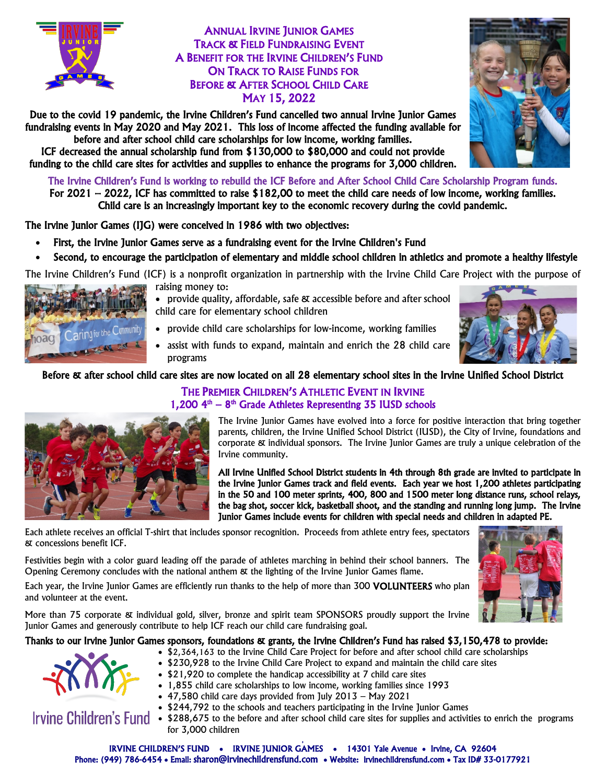

## ANNUAL IRVINE JUNIOR GAMES TRACK & FIELD FUNDRAISING EVENT A BENEFIT FOR THE IRVINE CHILDREN'S FUND ON TRACK TO RAISE FUNDS FOR BEFORE & AFTER SCHOOL CHILD CARE MAY 15, 2022

Due to the covid 19 pandemic, the Irvine Children's Fund cancelled two annual Irvine Junior Games fundraising events in May 2020 and May 2021. This loss of income affected the funding available for before and after school child care scholarships for low income, working families.

ICF decreased the annual scholarship fund from \$130,000 to \$80,000 and could not provide funding to the child care sites for activities and supplies to enhance the programs for 3,000 children.

The Irvine Children's Fund is working to rebuild the ICF Before and After School Child Care Scholarship Program funds. For 2021 – 2022, ICF has committed to raise \$182,00 to meet the child care needs of low income, working families. Child care is an increasingly important key to the economic recovery during the covid pandemic.

The Irvine Junior Games (IJG) were conceived in 1986 with two objectives:

raising money to:

- First, the Irvine Junior Games serve as a fundraising event for the Irvine Children's Fund
- Second, to encourage the participation of elementary and middle school children in athletics and promote a healthy lifestyle

The Irvine Children's Fund (ICF) is a nonprofit organization in partnership with the Irvine Child Care Project with the purpose of



- provide quality, affordable, safe & accessible before and after school child care for elementary school children
- provide child care scholarships for low-income, working families
- assist with funds to expand, maintain and enrich the 28 child care programs

### Before & after school child care sites are now located on all 28 elementary school sites in the Irvine Unified School District

## THE PREMIER CHILDREN'S ATHLETIC EVENT IN IRVINE  $1,200$   $4<sup>th</sup>$  –  $8<sup>th</sup>$  Grade Athletes Representing 35 IUSD schools



The Irvine Junior Games have evolved into a force for positive interaction that bring together parents, children, the Irvine Unified School District (IUSD), the City of Irvine, foundations and corporate & individual sponsors. The Irvine Junior Games are truly a unique celebration of the Irvine community.

All Irvine Unified School District students in 4th through 8th grade are invited to participate in the Irvine Junior Games track and field events. Each year we host 1,200 athletes participating in the 50 and 100 meter sprints, 400, 800 and 1500 meter long distance runs, school relays, the bag shot, soccer kick, basketball shoot, and the standing and running long jump. The Irvine Junior Games include events for children with special needs and children in adapted PE.

Each athlete receives an official T-shirt that includes sponsor recognition. Proceeds from athlete entry fees, spectators & concessions benefit ICF.

Festivities begin with a color guard leading off the parade of athletes marching in behind their school banners. The Opening Ceremony concludes with the national anthem & the lighting of the Irvine Junior Games flame.

Each year, the Irvine Junior Games are efficiently run thanks to the help of more than 300 VOLUNTEERS who plan and volunteer at the event.

More than 75 corporate & individual gold, silver, bronze and spirit team SPONSORS proudly support the Irvine Junior Games and generously contribute to help ICF reach our child care fundraising goal.

#### Thanks to our Irvine Junior Games sponsors, foundations & grants, the Irvine Children's Fund has raised \$3,150,478 to provide:



- \$2,364,163 to the Irvine Child Care Project for before and after school child care scholarships
- \$230,928 to the Irvine Child Care Project to expand and maintain the child care sites
- \$21,920 to complete the handicap accessibility at 7 child care sites
- 1,855 child care scholarships to low income, working families since 1993
- 47,580 child care days provided from July 2013 May 2021
- \$244,792 to the schools and teachers participating in the Irvine Junior Games
- **Irvine Children's Fund** \$288,675 to the before and after school child care sites for supplies and activities to enrich the programs for 3,000 children





s IRVINE CHILDREN'S FUND • IRVINE JUNIOR GAMES • 14301 Yale Avenue • Irvine, CA 92604 Phone: (949) 786-6454 • Email[: sharon@irvinechildrensfund.com](mailto:sharon@irvinechildrensfund.com) • Website: irvinechildrensfund.com • Tax ID# 33-0177921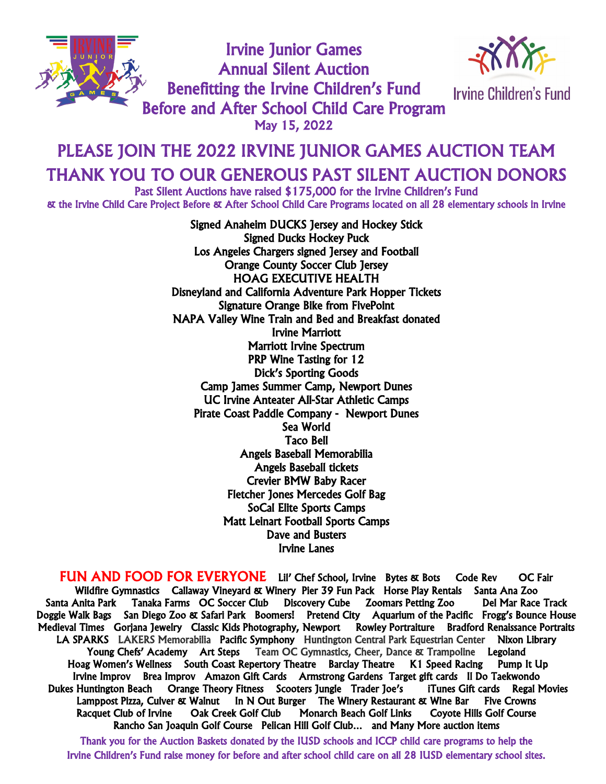

Irvine Junior Games Annual Silent Auction Benefitting the Irvine Children's Fund Before and After School Child Care Program<br>May 15, 2022



**Irvine Children's Fund** 

## PLEASE JOIN THE 2022 IRVINE JUNIOR GAMES AUCTION TEAM THANK YOU TO OUR GENEROUS PAST SILENT AUCTION DONORS Past Silent Auctions have raised \$175,000 for the Irvine Children's Fund i<br>S

& the Irvine Child Care Project Before & After School Child Care Programs located on all 28 elementary schools in Irvine

Signed Anaheim DUCKS Jersey and Hockey Stick Signed Ducks Hockey Puck Los Angeles Chargers signed Jersey and Football Orange County Soccer Club Jersey HOAG EXECUTIVE HEALTH Disneyland and California Adventure Park Hopper Tickets Signature Orange Bike from FivePoint NAPA Valley Wine Train and Bed and Breakfast donated Irvine Marriott Marriott Irvine Spectrum PRP Wine Tasting for 12 Dick's Sporting Goods Camp James Summer Camp, Newport Dunes UC Irvine Anteater All-Star Athletic Camps Pirate Coast Paddle Company - Newport Dunes Sea World Taco Bell Angels Baseball Memorabilia Angels Baseball tickets Crevier BMW Baby Racer Fletcher Jones Mercedes Golf Bag SoCal Elite Sports Camps Matt Leinart Football Sports Camps Dave and Busters Irvine Lanes

FUN AND FOOD FOR EVERYONE Lil' Chef School, Irvine Bytes & Bots Code Rev OC Fair Wildfire Gymnastics Callaway Vineyard & Winery Pier 39 Fun Pack Horse Play Rentals Santa Ana Zoo Santa Anita Park Tanaka Farms OC Soccer Club Discovery Cube Zoomars Petting Zoo Del Mar Race Track Doggie Walk Bags San Diego Zoo & Safari Park Boomers! Pretend City Aquarium of the Pacific Frogg's Bounce House Medieval Times Gorjana Jewelry Classic Kids Photography, Newport Rowley Portraiture Bradford Renaissance Portraits LA SPARKS LAKERS Memorabilia Pacific Symphony Huntington Central Park Equestrian Center Nixon Library Young Chefs' Academy Art Steps Team OC Gymnastics, Cheer, Dance & Trampoline Legoland Hoag Women's Wellness South Coast Repertory Theatre Barclay Theatre K1 Speed Racing Pump It Up Irvine Improv Brea Improv Amazon Gift Cards Armstrong Gardens Target gift cards Il Do Taekwondo Dukes Huntington Beach Orange Theory Fitness Scooters Jungle Trader Joe's iTunes Gift cards Regal Movies Lamppost Pizza, Culver & Walnut In N Out Burger The Winery Restaurant & Wine Bar Five Crowns Racquet Club of Irvine Oak Creek Golf Club Monarch Beach Golf Links Coyote Hills Golf Course Rancho San Joaquin Golf Course Pelican Hill Golf Club… and Many More auction items

Thank you for the Auction Baskets donated by the IUSD schools and ICCP child care programs to help the Irvine Children's Fund raise money for before and after school child care on all 28 IUSD elementary school sites.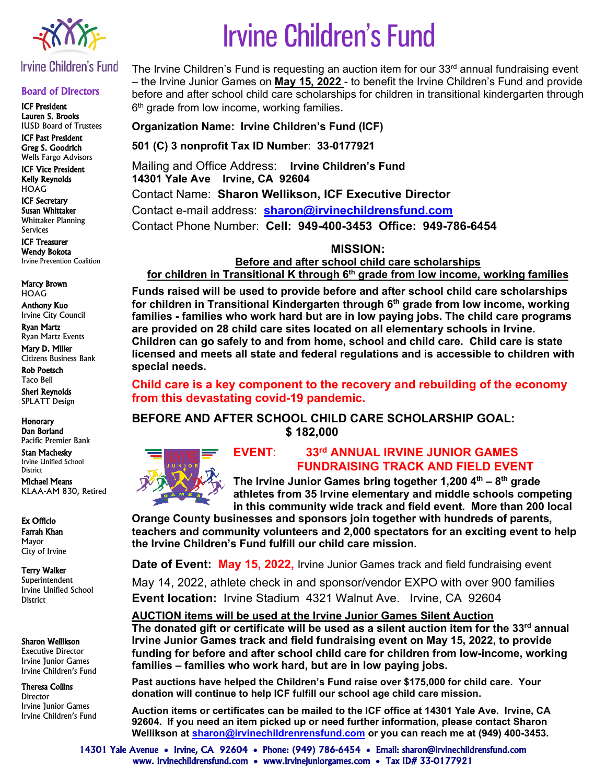

## Irvine Children's Fund

#### Board of Directors

ICF President Lauren S. Brooks IUSD Board of Trustees

ICF Past President Greg S. Goodrich Wells Fargo Advisors

ICF Vice President Kelly Reynolds HOAG

ICF Secretary Susan Whittaker Whittaker Planning

Services

ICF Treasurer Wendy Bokota Irvine Prevention Coalition

Marcy Brown HOAG

Anthony Kuo Irvine City Council

Ryan Martz Ryan Martz Events

Mary D. Miller Citizens Business Bank Rob Poetsch

Taco Bell

Sheri Reynolds SPLATT Design

Honorary Dan Borland

Pacific Premier Bank Stan Machesky

Irvine Unified School District

Michael Means KLAA-AM 830, Retired

Ex Officio Farrah Khan Mayor City of Irvine

Terry Walker

Superintendent Irvine Unified School **District** 

#### Sharon Wellikson

Executive Director Irvine Junior Games Irvine Children's Fund

#### Theresa Collins

**Director** Irvine Junior Games Irvine Children's Fund

# Irvine Children's Fund

The Irvine Children's Fund is requesting an auction item for our 33<sup>rd</sup> annual fundraising event – the Irvine Junior Games on **May 15, 2022** - to benefit the Irvine Children's Fund and provide before and after school child care scholarships for children in transitional kindergarten through  $6<sup>th</sup>$  grade from low income, working families.

**Organization Name: Irvine Children's Fund (ICF)**

**501 (C) 3 nonprofit Tax ID Number**: **33-0177921**

Mailing and Office Address: **Irvine Children's Fund 14301 Yale Ave Irvine, CA 92604** Contact Name: **Sharon Wellikson, ICF Executive Director** Contact e-mail address: **[sharon@irvinechildrensfund.com](mailto:sharon@irvinechildrensfund.com)** Contact Phone Number: **Cell: 949-400-3453 Office: 949-786-6454** 

**MISSION:**

**Before and after school child care scholarships for children in Transitional K through 6th grade from low income, working families**

**Funds raised will be used to provide before and after school child care scholarships for children in Transitional Kindergarten through 6th grade from low income, working families - families who work hard but are in low paying jobs. The child care programs are provided on 28 child care sites located on all elementary schools in Irvine. Children can go safely to and from home, school and child care. Child care is state licensed and meets all state and federal regulations and is accessible to children with special needs.**

**Child care is a key component to the recovery and rebuilding of the economy from this devastating covid-19 pandemic.**

# **BEFORE AND AFTER SCHOOL CHILD CARE SCHOLARSHIP GOAL:**

 **\$ 182,000**



## **EVENT**: **33rd ANNUAL IRVINE JUNIOR GAMES FUNDRAISING TRACK AND FIELD EVENT**

**The Irvine Junior Games bring together 1,200 4th – 8th grade athletes from 35 Irvine elementary and middle schools competing in this community wide track and field event. More than 200 local** 

**Orange County businesses and sponsors join together with hundreds of parents, teachers and community volunteers and 2,000 spectators for an exciting event to help the Irvine Children's Fund fulfill our child care mission.** 

**Date of Event: May 15, 2022,** Irvine Junior Games track and field fundraising event

May 14, 2022, athlete check in and sponsor/vendor EXPO with over 900 families **Event location:** Irvine Stadium 4321 Walnut Ave. Irvine, CA 92604

**AUCTION items will be used at the Irvine Junior Games Silent Auction The donated gift or certificate will be used as a silent auction item for the 33<sup>rd</sup> annual Irvine Junior Games track and field fundraising event on May 15, 2022, to provide funding for before and after school child care for children from low-income, working families – families who work hard, but are in low paying jobs.**

**Past auctions have helped the Children's Fund raise over \$175,000 for child care. Your donation will continue to help ICF fulfill our school age child care mission.**

**Auction items or certificates can be mailed to the ICF office at 14301 Yale Ave. Irvine, CA 92604. If you need an item picked up or need further information, please contact Sharon Wellikson at [sharon@irvinechildrenrensfund.com](mailto:sharon@irvinechildrenrensfund.com) or you can reach me at (949) 400-3453.**

14301 Yale Avenue • Irvine, CA 92604 • Phone: (949) 786-6454 • Email: sharon@irvinechildrensfund.com www. irvinechildrensfund.com • www.irvinejuniorgames.com • Tax ID# 33-0177921